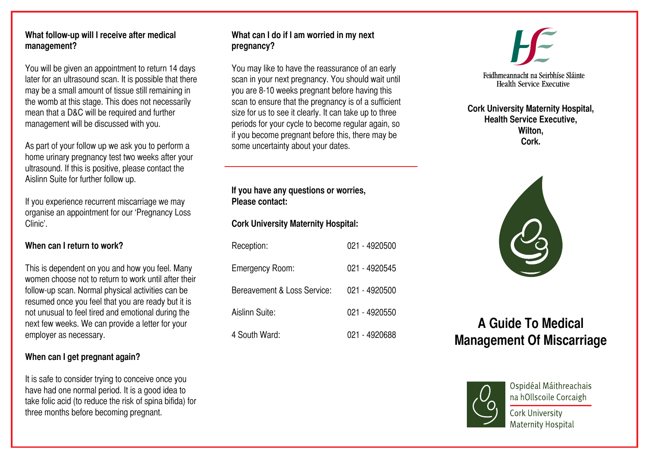#### **What follow-up will I receive after medical management?**

You will be given an appointment to return 14 days later for an ultrasound scan. It is possible that there may be a small amount of tissue still remaining in the womb at this stage. This does not necessarily mean that a D&C will be required and further management will be discussed with you.

As part of your follow up we ask you to perform a home urinary pregnancy test two weeks after your ultrasound. If this is positive, please contact the Aislinn Suite for further follow up.

If you experience recurrent miscarriage we may organise an appointment for our 'Pregnancy Loss Clinic'.

## **When can I return to work?**

This is dependent on you and how you feel. Many women choose not to return to work until after their follow-up scan. Normal physical activities can be resumed once you feel that you are ready but it is not unusual to feel tired and emotional during the next few weeks. We can provide a letter for your employer as necessary.

## **When can I get pregnant again?**

It is safe to consider trying to conceive once you have had one normal period. It is a good idea to take folic acid (to reduce the risk of spina bifida) for three months before becoming pregnant.

## **What can I do if I am worried in my next pregnancy?**

You may like to have the reassurance of an early scan in your next pregnancy. You should wait until you are 8-10 weeks pregnant before having this scan to ensure that the pregnancy is of a sufficient size for us to see it clearly. It can take up to three periods for your cycle to become regular again, so if you become pregnant before this, there may be some uncertainty about your dates.

**If you have any questions or worries, Please contact:**

## **Cork University Maternity Hospital:**

| Reception:                  | 021 - 4920500 |
|-----------------------------|---------------|
| Emergency Room:             | 021 - 4920545 |
| Bereavement & Loss Service: | 021 - 4920500 |
| Aislinn Suite:              | 021 - 4920550 |
| 4 South Ward:               | 021 - 4920688 |



#### **Cork University Maternity Hospital, Health Service Executive, Wilton, Cork.**

# **A Guide To Medical Management Of Miscarriage**



Ospidéal Máithreachais na hOllscoile Corcaigh

Cork University **Maternity Hospital**